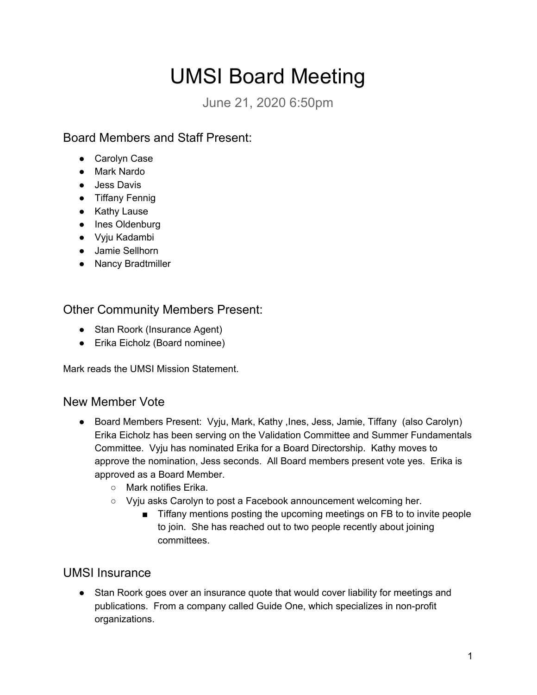# UMSI Board Meeting

June 21, 2020 6:50pm

## Board Members and Staff Present:

- Carolyn Case
- Mark Nardo
- Jess Davis
- Tiffany Fennig
- Kathy Lause
- Ines Oldenburg
- Vyju Kadambi
- Jamie Sellhorn
- Nancy Bradtmiller

#### Other Community Members Present:

- Stan Roork (Insurance Agent)
- Erika Eicholz (Board nominee)

Mark reads the UMSI Mission Statement.

#### New Member Vote

- Board Members Present: Vyju, Mark, Kathy ,Ines, Jess, Jamie, Tiffany (also Carolyn) Erika Eicholz has been serving on the Validation Committee and Summer Fundamentals Committee. Vyju has nominated Erika for a Board Directorship. Kathy moves to approve the nomination, Jess seconds. All Board members present vote yes. Erika is approved as a Board Member.
	- Mark notifies Erika.
	- Vyju asks Carolyn to post a Facebook announcement welcoming her.
		- Tiffany mentions posting the upcoming meetings on FB to to invite people to join. She has reached out to two people recently about joining committees.

#### UMSI Insurance

• Stan Roork goes over an insurance quote that would cover liability for meetings and publications. From a company called Guide One, which specializes in non-profit organizations.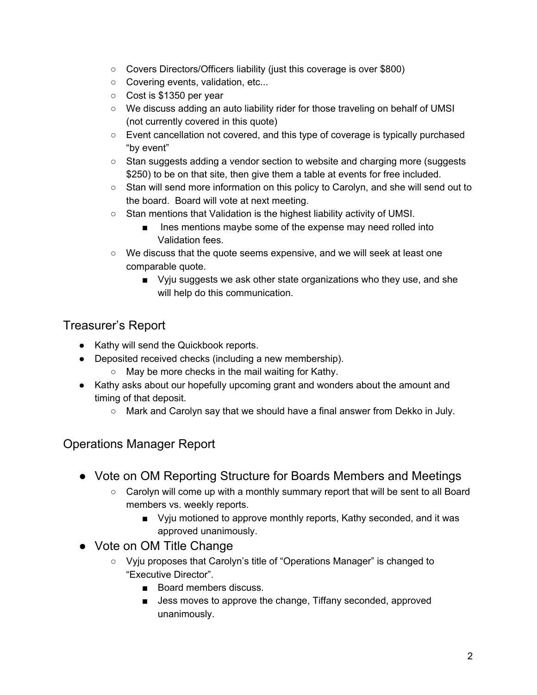- Covers Directors/Officers liability (just this coverage is over \$800)
- Covering events, validation, etc...
- Cost is \$1350 per year
- We discuss adding an auto liability rider for those traveling on behalf of UMSI (not currently covered in this quote)
- Event cancellation not covered, and this type of coverage is typically purchased "by event"
- Stan suggests adding a vendor section to website and charging more (suggests \$250) to be on that site, then give them a table at events for free included.
- Stan will send more information on this policy to Carolyn, and she will send out to the board. Board will vote at next meeting.
- Stan mentions that Validation is the highest liability activity of UMSI.
	- Ines mentions maybe some of the expense may need rolled into Validation fees.
- $\circ$  We discuss that the quote seems expensive, and we will seek at least one comparable quote.
	- Vyju suggests we ask other state organizations who they use, and she will help do this communication.

#### Treasurer's Report

- Kathy will send the Quickbook reports.
- Deposited received checks (including a new membership).
	- May be more checks in the mail waiting for Kathy.
- Kathy asks about our hopefully upcoming grant and wonders about the amount and timing of that deposit.
	- Mark and Carolyn say that we should have a final answer from Dekko in July.

## Operations Manager Report

- Vote on OM Reporting Structure for Boards Members and Meetings
	- Carolyn will come up with a monthly summary report that will be sent to all Board members vs. weekly reports.
		- Vyju motioned to approve monthly reports, Kathy seconded, and it was approved unanimously.
- Vote on OM Title Change
	- Vyju proposes that Carolyn's title of "Operations Manager" is changed to "Executive Director".
		- Board members discuss.
		- Jess moves to approve the change, Tiffany seconded, approved unanimously.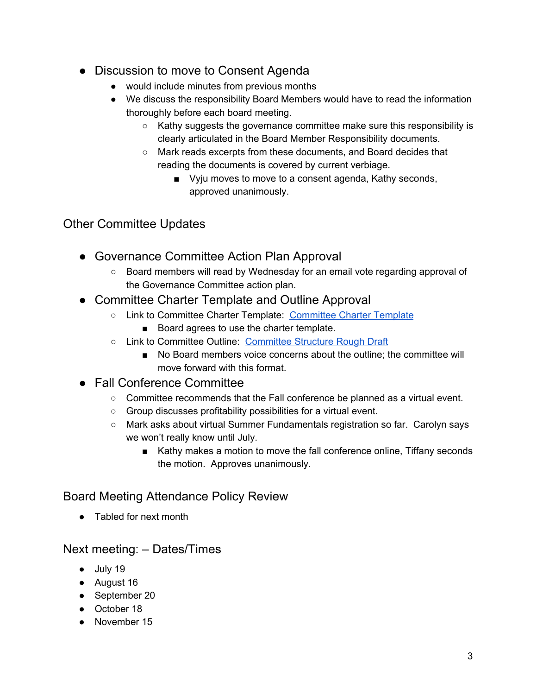- Discussion to move to Consent Agenda
	- would include minutes from previous months
	- We discuss the responsibility Board Members would have to read the information thoroughly before each board meeting.
		- Kathy suggests the governance committee make sure this responsibility is clearly articulated in the Board Member Responsibility documents.
		- Mark reads excerpts from these documents, and Board decides that reading the documents is covered by current verbiage.
			- Vyju moves to move to a consent agenda, Kathy seconds, approved unanimously.

# Other Committee Updates

- Governance Committee Action Plan Approval
	- Board members will read by Wednesday for an email vote regarding approval of the Governance Committee action plan.
- Committee Charter Template and Outline Approval
	- Link to Committee Charter Template: [Committee](https://docs.google.com/document/d/1OSrenpshs2HNh3kkeCBgdgso4utbbyEAdG6GnK2JHko/edit?usp=sharing) Charter Template
		- Board agrees to use the charter template.
	- Link to Committee Outline: [Committee](https://docs.google.com/document/d/1jUuP5SnlH7Bugtb3Qg49xOFBLGdWX_ctc_33mwh3ZC4/edit?usp=sharing) Structure Rough Draft
		- No Board members voice concerns about the outline; the committee will move forward with this format.
- Fall Conference Committee
	- $\circ$  Committee recommends that the Fall conference be planned as a virtual event.
	- Group discusses profitability possibilities for a virtual event.
	- Mark asks about virtual Summer Fundamentals registration so far. Carolyn says we won't really know until July.
		- Kathy makes a motion to move the fall conference online, Tiffany seconds the motion. Approves unanimously.

# Board Meeting Attendance Policy Review

● Tabled for next month

## Next meeting: – Dates/Times

- July 19
- August 16
- September 20
- October 18
- November 15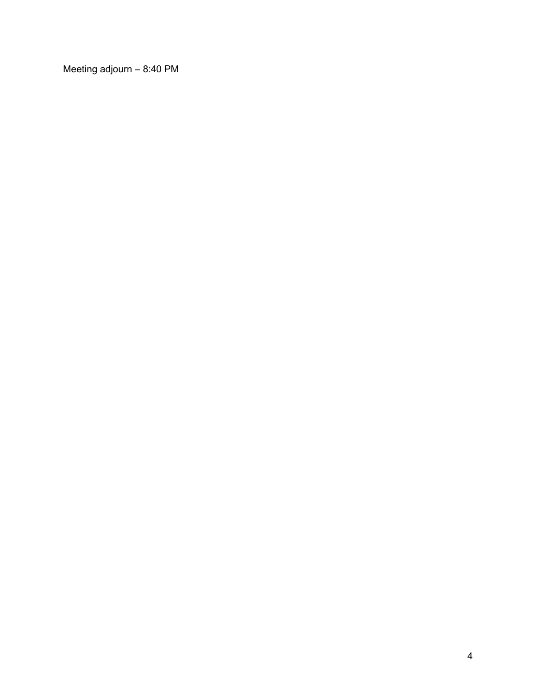Meeting adjourn – 8:40 PM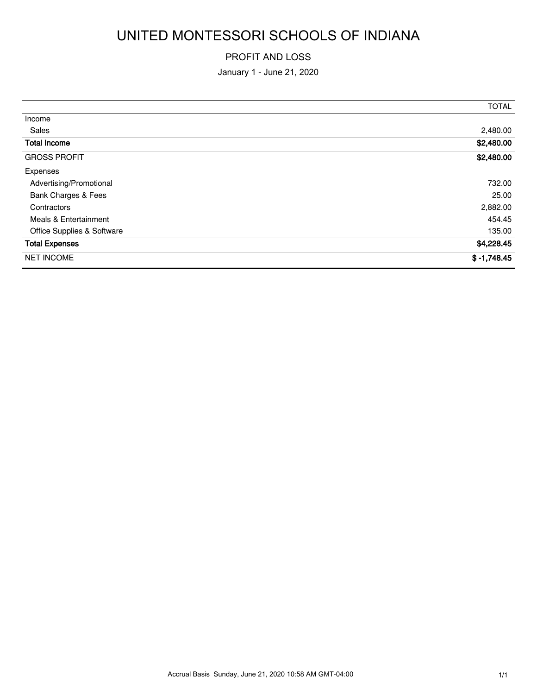# UNITED MONTESSORI SCHOOLS OF INDIANA

#### PROFIT AND LOSS

January 1 - June 21, 2020

|                            | <b>TOTAL</b>  |
|----------------------------|---------------|
| Income                     |               |
| Sales                      | 2,480.00      |
| <b>Total Income</b>        | \$2,480.00    |
| <b>GROSS PROFIT</b>        | \$2,480.00    |
| Expenses                   |               |
| Advertising/Promotional    | 732.00        |
| Bank Charges & Fees        | 25.00         |
| Contractors                | 2,882.00      |
| Meals & Entertainment      | 454.45        |
| Office Supplies & Software | 135.00        |
| <b>Total Expenses</b>      | \$4,228.45    |
| <b>NET INCOME</b>          | $$ -1,748.45$ |